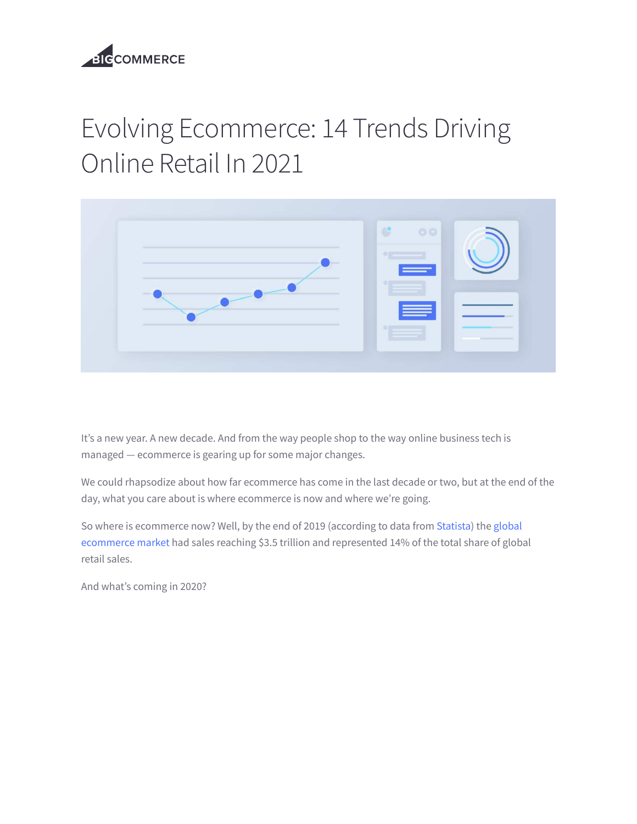

# Evolving Ecommerce: 14 Trends Driving Online Retail In 2021



It's a new year. A new decade. And from the way people shop to the way online business tech is managed — ecommerce is gearing up for some major changes.

We could rhapsodize about how far ecommerce has come in the last decade or two, but at the end of the day, what you care about is where ecommerce is now and where we're going.

So where is ecommerce now? Well, by the end of 2019 (according to data from [Statista\)](https://www.statista.com/study/10653/e-commerce-worldwide-statista-dossier/) the global ecommerce market had sales reaching \$3.5 trillion and [represented](https://www.bigcommerce.com/blog/international-ecommerce-expansion/) 14% of the total share of global retail sales.

And what's coming in 2020?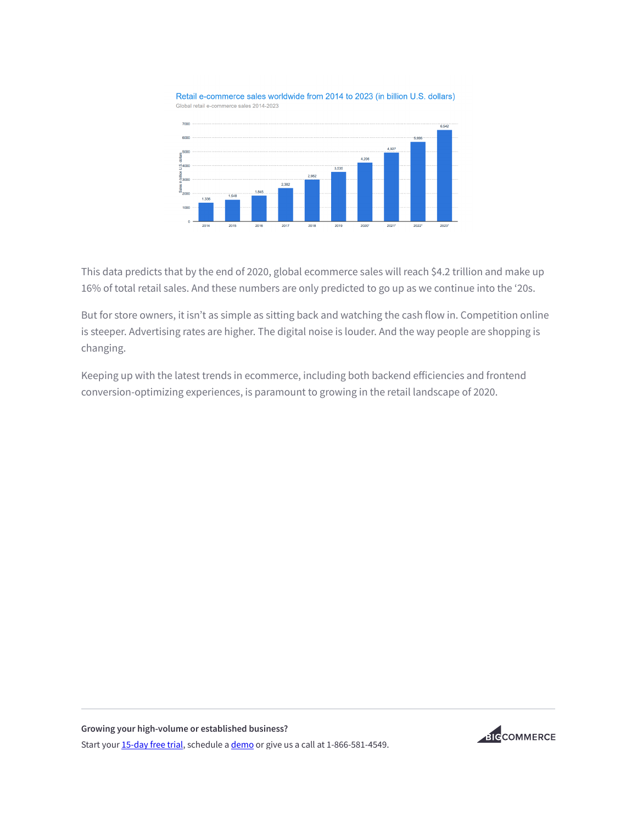Retail e-commerce sales worldwide from 2014 to 2023 (in billion U.S. dollars) Global retail e-commerce sales 2014-2023



This data predicts that by the end of 2020, global ecommerce sales will reach \$4.2 trillion and make up 16% of total retail sales. And these numbers are only predicted to go up as we continue into the '20s.

But for store owners, it isn't as simple as sitting back and watching the cash flow in. Competition online is steeper. Advertising rates are higher. The digital noise is louder. And the way people are shopping is changing.

Keeping up with the latest trends in ecommerce, including both backend efficiencies and frontend conversion-optimizing experiences, is paramount to growing in the retail landscape of 2020.

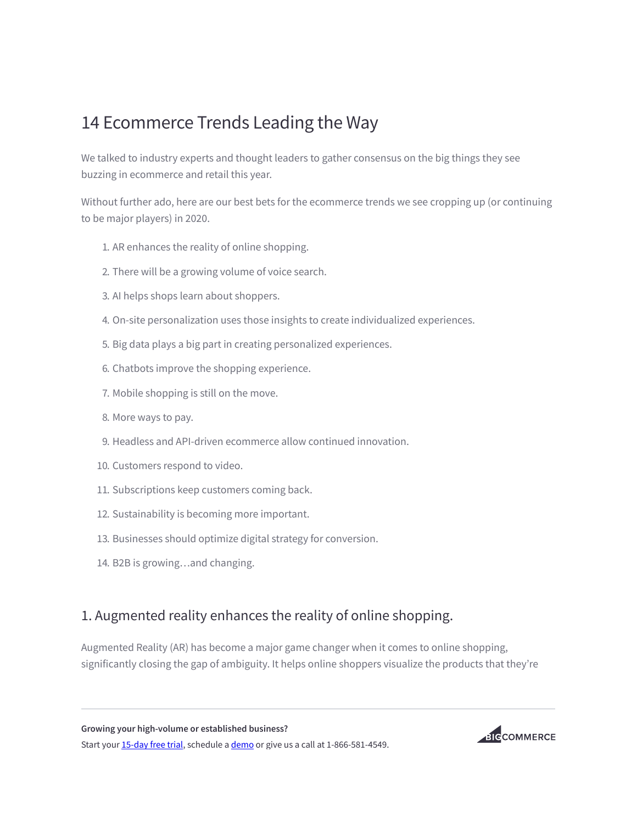## 14 Ecommerce Trends Leading the Way

We talked to industry experts and thought leaders to gather consensus on the big things they see buzzing in ecommerce and retail this year.

Without further ado, here are our best bets for the ecommerce trends we see cropping up (or continuing to be major players) in 2020.

- 1. AR enhances the reality of online shopping.
- 2. There will be a growing volume of voice search.
- 3. AI helps shops learn about shoppers.
- 4. On-site personalization uses those insights to create individualized experiences.
- 5. Big data plays a big part in creating personalized experiences.
- 6. Chatbots improve the shopping experience.
- 7. Mobile shopping is still on the move.
- 8. More ways to pay.
- 9. Headless and API-driven ecommerce allow continued innovation.
- 10. Customers respond to video.
- 11. Subscriptions keep customers coming back.
- 12. Sustainability is becoming more important.
- 13. Businesses should optimize digital strategy for conversion.
- 14. B2B is growing…and changing.

#### 1. Augmented reality enhances the reality of online shopping.

Augmented Reality (AR) has become a major game changer when it comes to online shopping, significantly closing the gap of ambiguity. It helps online shoppers visualize the products that they're

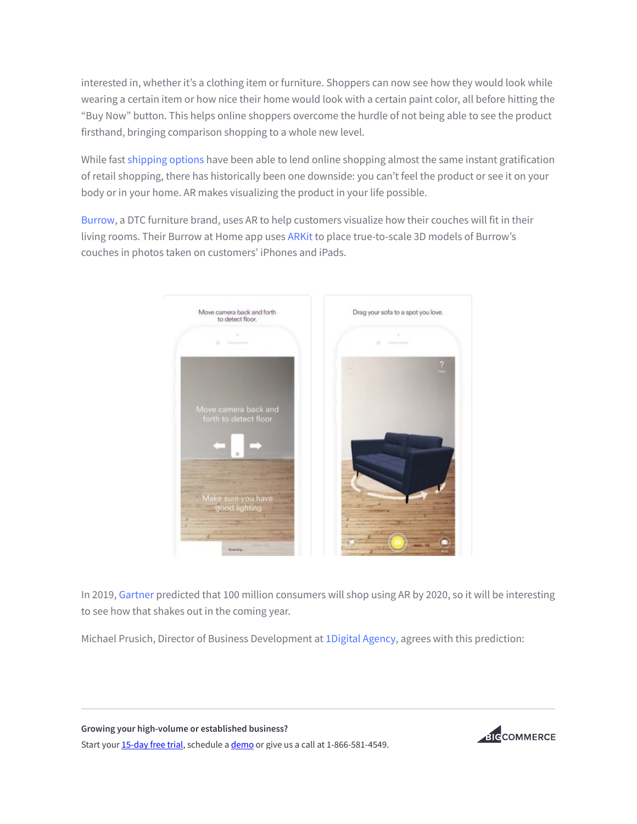interested in, whether it's a clothing item or furniture. Shoppers can now see how they would look while wearing a certain item or how nice their home would look with a certain paint color, all before hitting the "Buy Now" button. This helps online shoppers overcome the hurdle of not being able to see the product firsthand, bringing comparison shopping to a whole new level.

While fast [shipping](https://www.bigcommerce.com/blog/best-shipping-software/) options have been able to lend online shopping almost the same instant gratification of retail shopping, there has historically been one downside: you can't feel the product or see it on your body or in your home. AR makes visualizing the product in your life possible.

[Burrow](https://burrow.com/), a DTC furniture brand, uses AR to help customers visualize how their couches will fit in their living rooms. Their Burrow at Home app uses [ARKit](https://apps.apple.com/us/app/burrow-at-home/id1304445713) to place true-to-scale 3D models of Burrow's couches in photos taken on customers' iPhones and iPads.



In 2019, [Gartner](https://www.gartner.com/en/newsroom/press-releases/2019-04-01-gartner-says-100-million-consumers-will-shop-in-augme) predicted that 100 million consumers will shop using AR by 2020, so it will be interesting to see how that shakes out in the coming year.

Michael Prusich, Director of Business Development at [1Digital](https://www.1digitalagency.com/) Agency, agrees with this prediction:

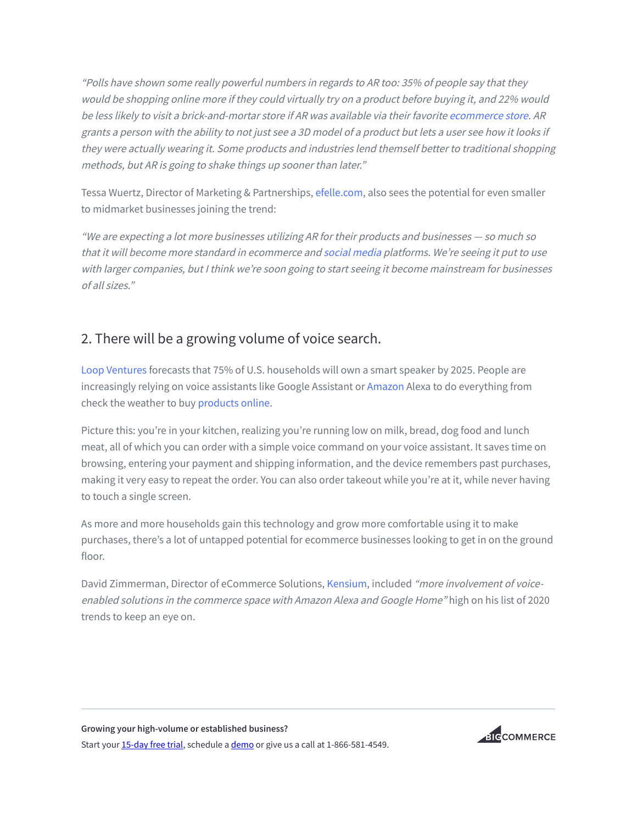"Polls have shown some really powerful numbers in regards to AR too: 35% of people say that they would be shopping online more if they could virtually try on <sup>a</sup> product before buying it, and 22% would be less likely to visit <sup>a</sup> brick-and-mortar store if AR was available via their favorite [ecommerce](https://www.bigcommerce.com/blog/best-ecommerce-stores/) store. AR grants <sup>a</sup> person with the ability to not just see <sup>a</sup> 3D model of <sup>a</sup> product but lets <sup>a</sup> user see how it looks if they were actually wearing it. Some products and industries lend themself better to traditional shopping methods, but AR is going to shake things up sooner than later."

Tessa Wuertz, Director of Marketing & Partnerships, [efelle.com,](https://www.seattlewebdesign.com/) also sees the potential for even smaller to midmarket businesses joining the trend:

"We are expecting <sup>a</sup> lot more businesses utilizing AR for their products and businesses — so much so that it will become more standard in ecommerce and social [media](https://www.bigcommerce.com/ecommerce-answers/what-is-social-media-marketing-for-online-businesses/) platforms. We're seeing it put to use with larger companies, but <sup>I</sup> think we're soon going to start seeing it become mainstream for businesses of all sizes."

### 2. There will be a growing volume of voice search.

Loop [Ventures](https://voicebot.ai/2019/06/18/loup-ventures-says-75-of-u-s-households-will-have-smart-speakers-by-2025-google-to-surpass-amazon-in-market-share/) forecasts that 75% of U.S. households will own a smart speaker by 2025. People are increasingly relying on voice assistants like Google Assistant or [Amazon](https://www.bigcommerce.com/blog/selling-amazon-bigcommerce/) Alexa to do everything from check the weather to buy [products](https://www.bigcommerce.com/ecommerce-answers/how-choose-product-sell-online/) online.

Picture this: you're in your kitchen, realizing you're running low on milk, bread, dog food and lunch meat, all of which you can order with a simple voice command on your voice assistant. It saves time on browsing, entering your payment and shipping information, and the device remembers past purchases, making it very easy to repeat the order. You can also order takeout while you're at it, while never having to touch a single screen.

As more and more households gain this technology and grow more comfortable using it to make purchases, there's a lot of untapped potential for ecommerce businesses looking to get in on the ground floor.

David Zimmerman, Director of eCommerce Solutions, [Kensium,](https://www.kensiumsolutions.com/) included "more involvement of voiceenabled solutions in the commerce space with Amazon Alexa and Google Home" high on his list of 2020 trends to keep an eye on.

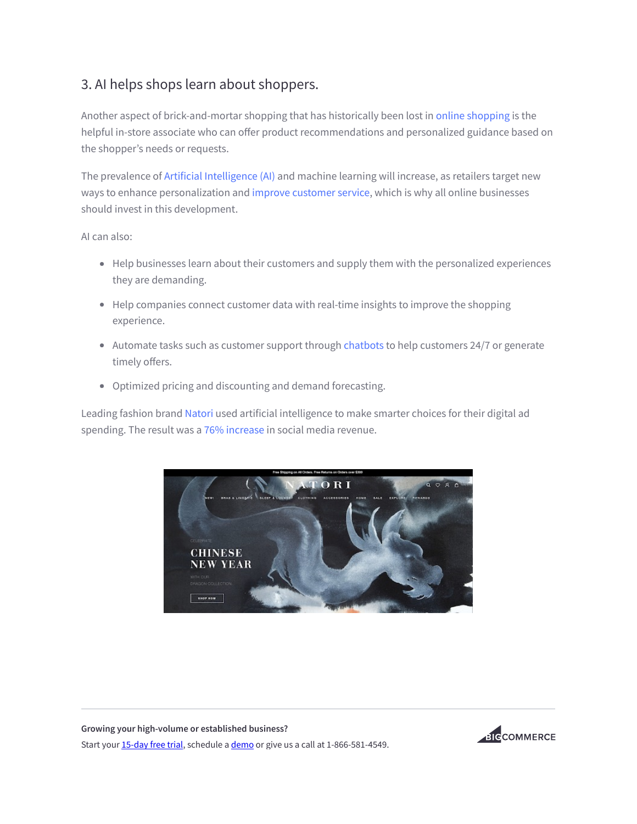#### 3. AI helps shops learn about shoppers.

Another aspect of brick-and-mortar shopping that has historically been lost in online [shopping](https://www.bigcommerce.com/articles/ecommerce/) is the helpful in-store associate who can offer product recommendations and personalized guidance based on the shopper's needs or requests.

The prevalence of Artificial [Intelligence](https://www.bigcommerce.com/blog/ecommerce-ai/) (AI) and machine learning will increase, as retailers target new ways to enhance personalization and improve [customer](https://keap.com/lifecycle-marketing/assessment?bigcommerce?utm_source=blog&utm_medium=referral&utm_campaign=blogs_blog_exchange) service, which is why all online businesses should invest in this development.

AI can also:

- Help businesses learn about their customers and supply them with the personalized experiences they are demanding.
- Help companies connect customer data with real-time insights to improve the shopping experience.
- Automate tasks such as customer support through [chatbots](https://www.userlike.com/en/blog/chatbots) to help customers 24/7 or generate timely offers.
- Optimized pricing and discounting and demand forecasting.

Leading fashion brand [Natori](https://www.natori.com/) used artificial intelligence to make smarter choices for their digital ad spending. The result was a 76% [increase](https://www.businesswire.com/news/home/20180419005546/en/Natori-AI-Transform-Social-Media-Sales-Sees) in social media revenue.



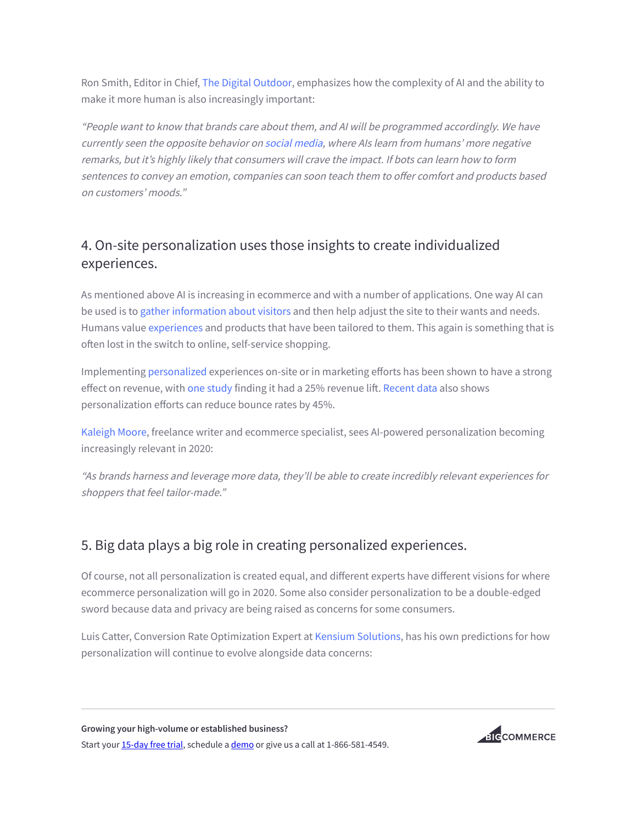Ron Smith, Editor in Chief, The Digital [Outdoor](http://www.thedigitaloutdoorsman.com/), emphasizes how the complexity of AI and the ability to make it more human is also increasingly important:

"People want to know that brands care about them, and AI will be programmed accordingly. We have currently seen the opposite behavior on social [media,](https://www.bigcommerce.com/blog/social-media-advertising/) where AIs learn from humans' more negative remarks, but it's highly likely that consumers will crave the impact. If bots can learn how to form sentences to convey an emotion, companies can soon teach them to offer comfort and products based on customers' moods."

#### 4. On-site personalization uses those insights to create individualized experiences.

As mentioned above AI is increasing in ecommerce and with a number of applications. One way AI can be used is to gather [information](https://www.yieldify.com/blog/behavioral-segmentation-definition-examples/) about visitors and then help adjust the site to their wants and needs. Humans value [experiences](https://www.bigcommerce.com/blog/ecommerce-customer-experience/) and products that have been tailored to them. This again is something that is often lost in the switch to online, self-service shopping.

Implementing [personalized](https://www.bigcommerce.com/blog/ecommerce-personalization/) experiences on-site or in marketing efforts has been shown to have a strong effect on revenue, with one [study](https://www.bcg.com/publications/2019/next-level-personalization-retail.aspx) finding it had a 25% revenue lift. [Recent](https://www.bigcommerce.com/blog/bounce-rates/#what-is-a-bounce-rate-on-an-ecommerce-website) data also shows personalization efforts can reduce bounce rates by 45%.

[Kaleigh](https://www.kaleighmoore.com/) Moore, freelance writer and ecommerce specialist, sees AI-powered personalization becoming increasingly relevant in 2020:

"As brands harness and leverage more data, they'll be able to create incredibly relevant experiences for shoppers that feel tailor-made."

### 5. Big data plays a big role in creating personalized experiences.

Of course, not all personalization is created equal, and different experts have different visions for where ecommerce personalization will go in 2020. Some also consider personalization to be a double-edged sword because data and privacy are being raised as concerns for some consumers.

Luis Catter, Conversion Rate Optimization Expert at Kensium [Solutions](https://www.kensiumsolutions.com/), has his own predictions for how personalization will continue to evolve alongside data concerns:

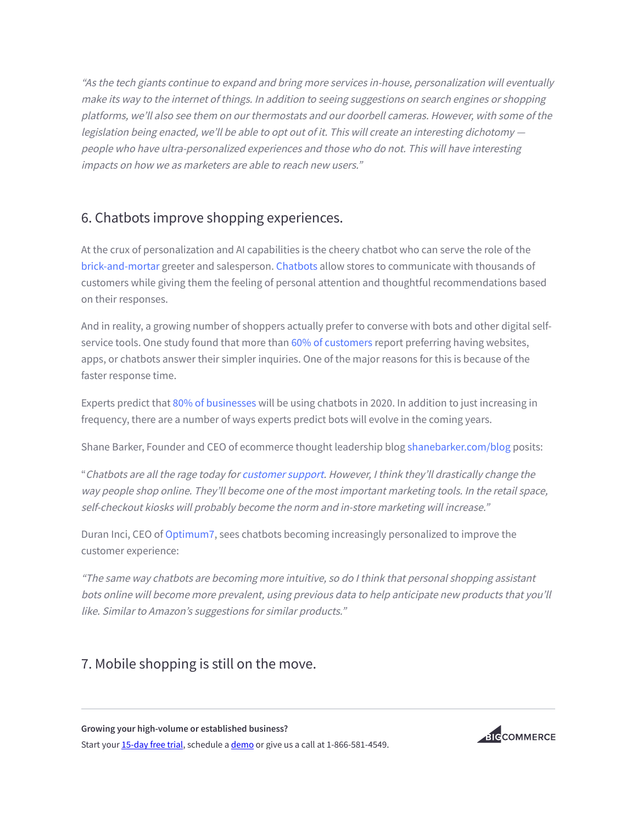"As the tech giants continue to expand and bring more services in-house, personalization will eventually make its way to the internet of things. In addition to seeing suggestions on search engines or shopping platforms, we'll also see them on our thermostats and our doorbell cameras. However, with some of the legislation being enacted, we'll be able to opt out of it. This will create an interesting dichotomy people who have ultra-personalized experiences and those who do not. This will have interesting impacts on how we as marketers are able to reach new users."

#### 6. Chatbots improve shopping experiences.

At the crux of personalization and AI capabilities is the cheery chatbot who can serve the role of the [brick-and-mortar](https://www.bigcommerce.com/blog/?p=30006) greeter and salesperson. [Chatbots](https://www.bigcommerce.com/blog/chatbots/) allow stores to communicate with thousands of customers while giving them the feeling of personal attention and thoughtful recommendations based on their responses.

And in reality, a growing number of shoppers actually prefer to converse with bots and other digital selfservice tools. One study found that more than 60% of [customers](https://kinsta.com/blog/ecommerce-statistics/) report preferring having websites, apps, or chatbots answer their simpler inquiries. One of the major reasons for this is because of the faster response time.

Experts predict that 80% of [businesses](https://www.businessinsider.com/80-of-businesses-want-chatbots-by-2020-2016-12) will be using chatbots in 2020. In addition to just increasing in frequency, there are a number of ways experts predict bots will evolve in the coming years.

Shane Barker, Founder and CEO of ecommerce thought leadership blog [shanebarker.com/blog](https://shanebarker.com/blog/) posits:

"Chatbots are all the rage today for customer [support](https://www.bigcommerce.com/blog/ecommerce-customer-service/). However, <sup>I</sup> think they'll drastically change the way people shop online. They'll become one of the most important marketing tools. In the retail space, self-checkout kiosks will probably become the norm and in-store marketing will increase."

Duran Inci, CEO of [Optimum7](http://www.optimum7.com/), sees chatbots becoming increasingly personalized to improve the customer experience:

"The same way chatbots are becoming more intuitive, so do I think that personal shopping assistant bots online will become more prevalent, using previous data to help anticipate new products that you'll like. Similar to Amazon's suggestions for similar products."

#### 7. Mobile shopping is still on the move.

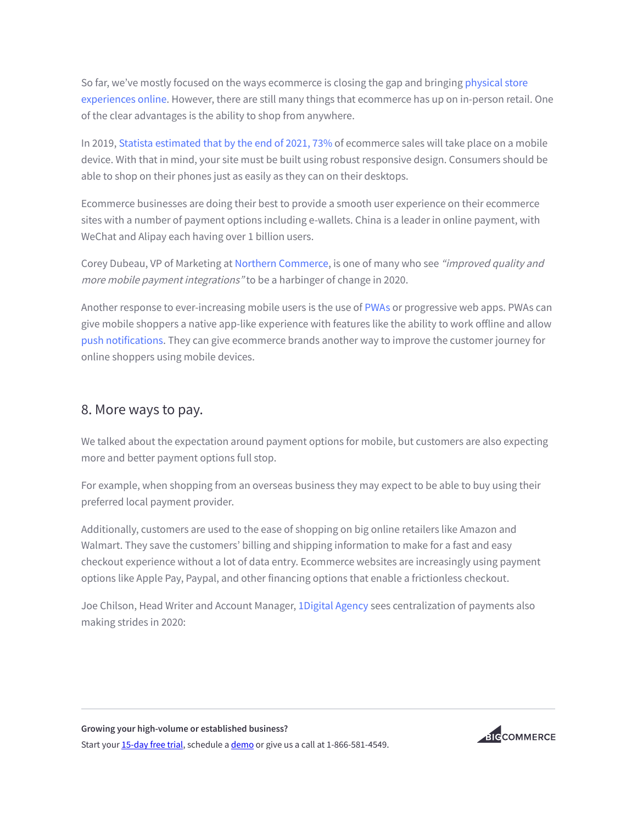So far, we've mostly focused on the ways ecommerce is closing the gap and bringing physical store experiences online. However, there are still many things that ecommerce has up on in-person retail. One of the clear advantages is the ability to shop from anywhere.

In 2019, Statista [estimated](https://www.statista.com/chart/13139/estimated-worldwide-mobile-e-commerce-sales/) that by the end of 2021, 73% of ecommerce sales will take place on a mobile device. With that in mind, your site must be built using robust responsive design. Consumers should be able to shop on their phones just as easily as they can on their desktops.

Ecommerce businesses are doing their best to provide a smooth user experience on their ecommerce sites with a number of payment options including e-wallets. China is a leader in online payment, with WeChat and Alipay each having over 1 billion users.

Corey Dubeau, VP of Marketing at Northern [Commerce,](https://www.northern.co/) is one of many who see "improved quality and more mobile payment integrations" to be a harbinger of change in 2020.

Another response to ever-increasing mobile users is the use of [PWAs](https://www.bigcommerce.com/blog/pwa/) or progressive web apps. PWAs can give mobile shoppers a native app-like experience with features like the ability to work offline and allow push [notifications.](https://aimtell.com/blog/5-ways-to-use-web-push-notifications-marketing-mix) They can give ecommerce brands another way to improve the customer journey for online shoppers using mobile devices.

#### 8. More ways to pay.

We talked about the expectation around payment options for mobile, but customers are also expecting more and better payment options full stop.

For example, when shopping from an overseas business they may expect to be able to buy using their preferred local payment provider.

Additionally, customers are used to the ease of shopping on big online retailers like Amazon and Walmart. They save the customers' billing and shipping information to make for a fast and easy checkout experience without a lot of data entry. Ecommerce websites are increasingly using payment options like Apple Pay, Paypal, and other financing options that enable a frictionless checkout.

Joe Chilson, Head Writer and Account Manager, [1Digital](https://www.1digitalagency.com/) Agency sees centralization of payments also making strides in 2020:

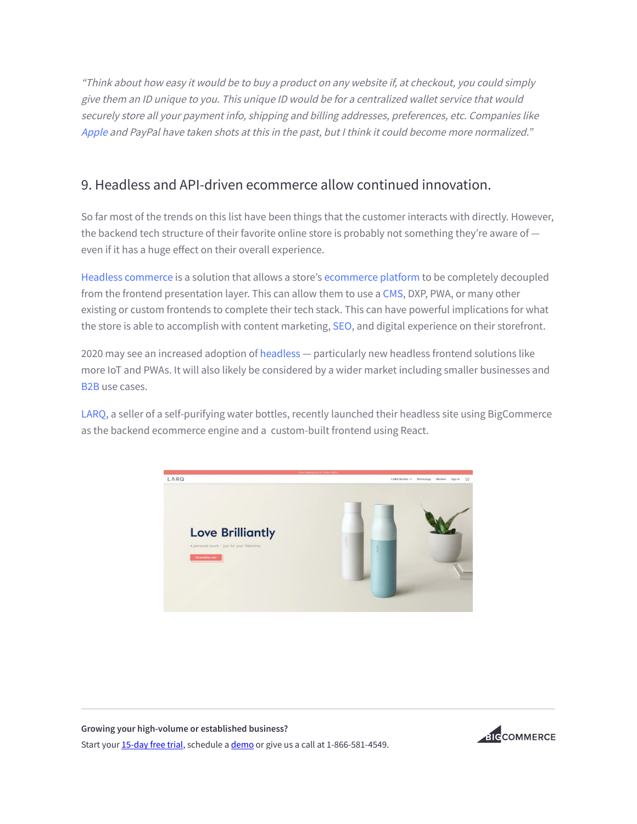"Think about how easy it would be to buy <sup>a</sup> product on any website if, at checkout, you could simply give them an ID unique to you. This unique ID would be for <sup>a</sup> centralized wallet service that would securely store all your payment info, shipping and billing addresses, preferences, etc. Companies like [Apple](https://www.bigcommerce.com/blog/apple-pay-tips-mobile-payments/) and PayPal have taken shots at this in the past, but I think it could become more normalized."

#### 9. Headless and API-driven ecommerce allow continued innovation.

So far most of the trends on this list have been things that the customer interacts with directly. However, the backend tech structure of their favorite online store is probably not something they're aware of even if it has a huge effect on their overall experience.

Headless [commerce](https://www.bigcommerce.com/blog/?p=28831) is a solution that allows a store's [ecommerce](https://www.bigcommerce.com/articles/ecommerce/ecommerce-platforms/) platform to be completely decoupled from the frontend presentation layer. This can allow them to use a [CMS](https://www.bigcommerce.com/blog/?p=55937), DXP, PWA, or many other existing or custom frontends to complete their tech stack. This can have powerful implications for what the store is able to accomplish with content marketing, [SEO](https://www.bigcommerce.com/blog/ecommerce-seo/), and digital experience on their storefront.

2020 may see an increased adoption of [headless](https://www.bigcommerce.com/blog/flexible-headless-commerce-solutions/) — particularly new headless frontend solutions like more IoT and PWAs. It will also likely be considered by a wider market including smaller businesses and B2B use cases.

[LARQ,](https://www.bigcommerce.com/case-study/larq/) a seller of a self-purifying water bottles, recently launched their headless site using BigCommerce as the backend ecommerce engine and a custom-built frontend using React.



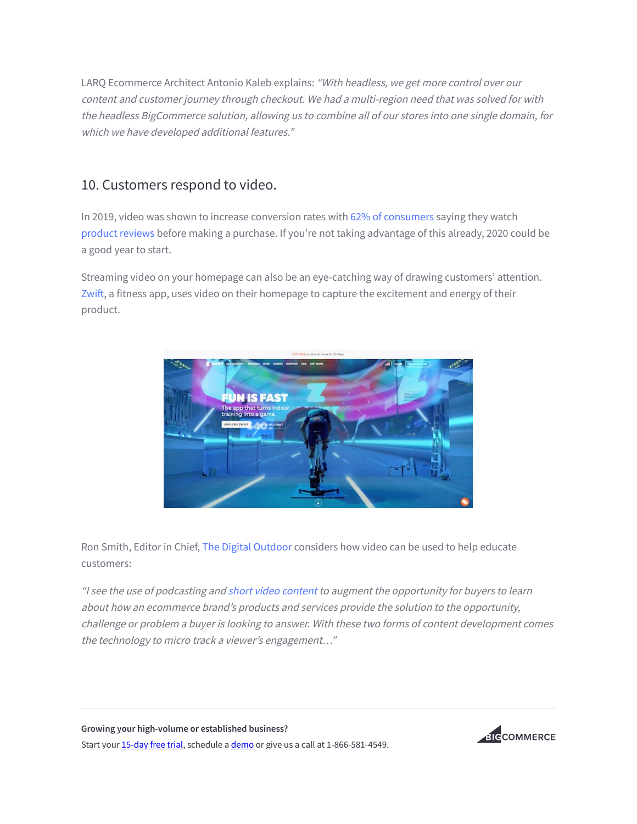LARQ Ecommerce Architect Antonio Kaleb explains: "With headless, we get more control over our content and customer journey through checkout. We had <sup>a</sup> multi-region need that was solved for with the headless BigCommerce solution, allowing us to combine all of our stores into one single domain, for which we have developed additional features."

#### 10. Customers respond to video.

In 2019, video was shown to increase conversion rates with 62% of [consumers](https://www.builderfly.com/5-reasons-ecommerce-product-videos-will-increase-sales) saying they watch [product](https://www.bigcommerce.com/blog/use-product-reviews-on-bigcommerce/) reviews before making a purchase. If you're not taking advantage of this already, 2020 could be a good year to start.

Streaming video on your homepage can also be an eye-catching way of drawing customers' attention. Zwift, a fitness app, uses video on their homepage to capture the excitement and energy of their product.



Ron Smith, Editor in Chief, The Digital [Outdoor](http://www.thedigitaloutdoorsman.com/) considers how video can be used to help educate customers:

"I see the use of podcasting and short video [content](https://www.bigcommerce.com/blog/product-video-marketing-examples/) to augment the opportunity for buyers to learn about how an ecommerce brand's products and services provide the solution to the opportunity, challenge or problem <sup>a</sup> buyer is looking to answer. With these two forms of content development comes the technology to micro track <sup>a</sup> viewer's engagement…"

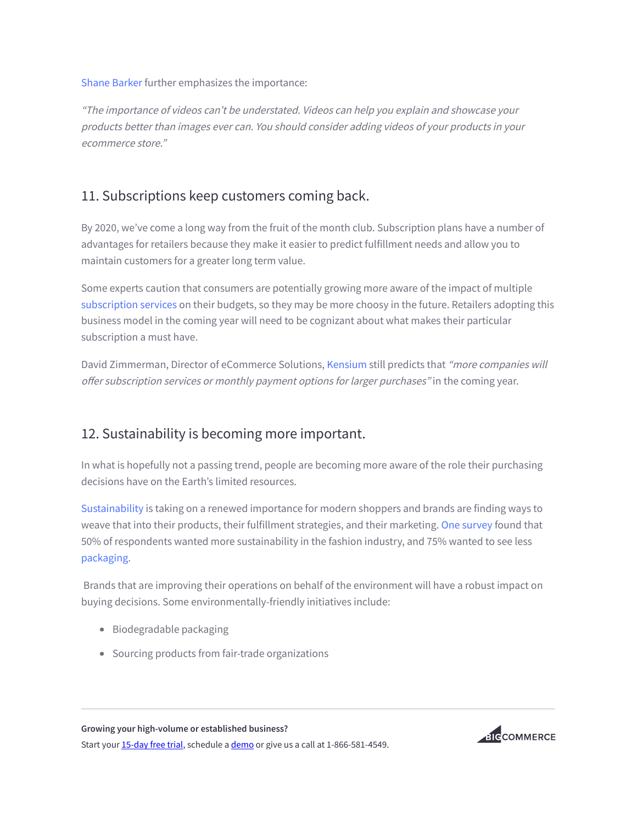Shane [Barker](http://shanebarker.com/blog) further emphasizes the importance:

"The importance of videos can't be understated. Videos can help you explain and showcase your products better than images ever can. You should consider adding videos of your products in your ecommerce store."

#### 11. Subscriptions keep customers coming back.

By 2020, we've come a long way from the fruit of the month club. Subscription plans have a number of advantages for retailers because they make it easier to predict fulfillment needs and allow you to maintain customers for a greater long term value.

Some experts caution that consumers are potentially growing more aware of the impact of multiple [subscription](https://www.bigcommerce.com/blog/subscription-websites/) services on their budgets, so they may be more choosy in the future. Retailers adopting this business model in the coming year will need to be cognizant about what makes their particular subscription a must have.

David Zimmerman, Director of eCommerce Solutions, [Kensium](https://www.kensiumsolutions.com/) still predicts that "more companies will offer subscription services or monthly payment options for larger purchases" in the coming year.

#### 12. Sustainability is becoming more important.

In what is hopefully not a passing trend, people are becoming more aware of the role their purchasing decisions have on the Earth's limited resources.

[Sustainability](https://www.bigcommerce.com/blog/sustainable-products/) is taking on a renewed importance for modern shoppers and brands are finding ways to weave that into their products, their fulfillment strategies, and their marketing. One [survey](https://www.nosto.com/blog/10-stats-consumers-sustainability-retail/) found that 50% of respondents wanted more sustainability in the fashion industry, and 75% wanted to see less [packaging](https://www.bigcommerce.com/blog/how-to-use-packaging-to-drive-new-business-and-repeat-customers/).

Brands that are improving their operations on behalf of the environment will have a robust impact on buying decisions. Some environmentally-friendly initiatives include:

- Biodegradable packaging
- Sourcing products from fair-trade organizations

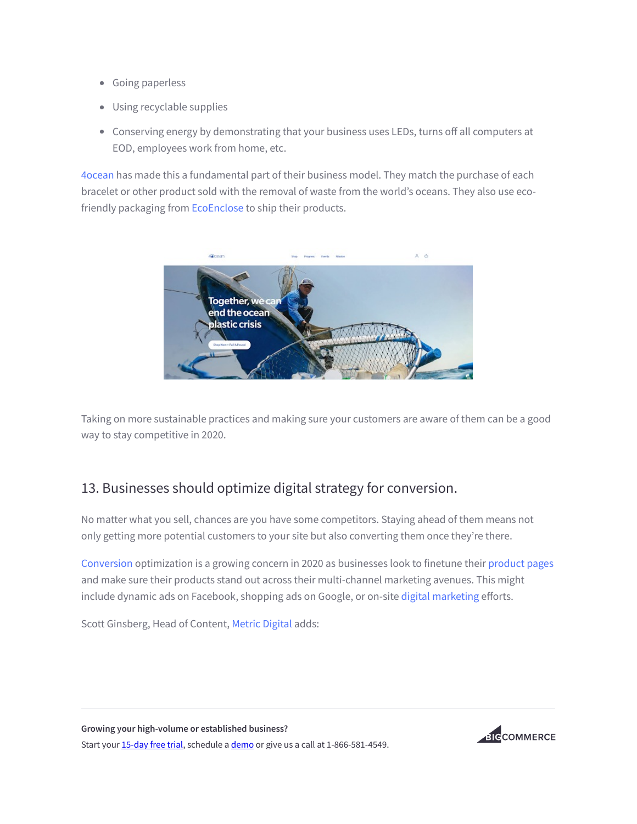- Going paperless
- Using recyclable supplies
- Conserving energy by demonstrating that your business uses LEDs, turns off all computers at EOD, employees work from home, etc.

[4ocean](https://4ocean.com/) has made this a fundamental part of their business model. They match the purchase of each bracelet or other product sold with the removal of waste from the world's oceans. They also use ecofriendly packaging from [EcoEnclose](https://www.bigcommerce.com/blog/eco-friendly-ecommerce/#becoming-a-cornerstone-of-eco-friendly-ecommerce) to ship their products.



Taking on more sustainable practices and making sure your customers are aware of them can be a good way to stay competitive in 2020.

### 13. Businesses should optimize digital strategy for conversion.

No matter what you sell, chances are you have some competitors. Staying ahead of them means not only getting more potential customers to your site but also converting them once they're there.

[Conversion](https://www.bigcommerce.com/blog/conversion-rate-optimization/) optimization is a growing concern in 2020 as businesses look to finetune their [product](https://www.websitebuilderexpert.com/designing-websites/ecommerce-product-page-design-part-1/) pages and make sure their products stand out across their multi-channel marketing avenues. This might include dynamic ads on Facebook, shopping ads on Google, or on-site digital [marketing](https://www.bigcommerce.com/blog/how-to-reach-the-right-audience-with-digital-marketing/) efforts.

Scott Ginsberg, Head of Content, Metric [Digital](https://www.metricdigital.com/) adds:

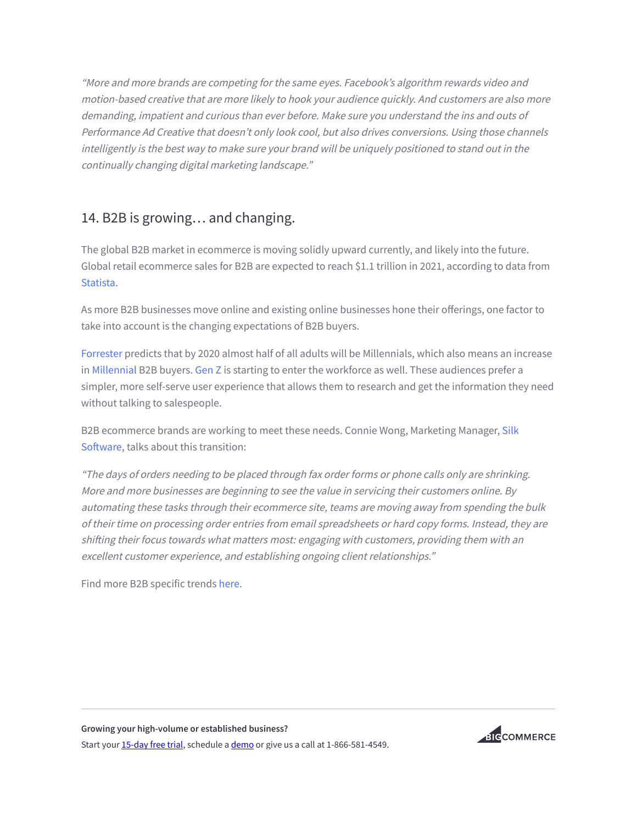"More and more brands are competing for the same eyes. Facebook's algorithm rewards video and motion-based creative that are more likely to hook your audience quickly. And customers are also more demanding, impatient and curious than ever before. Make sure you understand the ins and outs of Performance Ad Creative that doesn't only look cool, but also drives conversions. Using those channels intelligently is the best way to make sure your brand will be uniquely positioned to stand out in the continually changing digital marketing landscape."

#### 14. B2B is growing… and changing.

The global B2B market in ecommerce is moving solidly upward currently, and likely into the future. Global retail ecommerce sales for B2B are expected to reach \$1.1 trillion in 2021, according to data from [Statista.](https://www.statista.com/study/57731/b2b-e-commerce-in-the-united-states/)

As more B2B businesses move online and existing online businesses hone their offerings, one factor to take into account is the changing expectations of B2B buyers.

[Forrester](https://go.forrester.com/blogs/predictions-2020-b2b-marketing/) predicts that by 2020 almost half of all adults will be Millennials, which also means an increase in [Millennial](https://www.bigcommerce.com/blog/millennial-marketing/) B2B buyers. [Gen](https://www.bigcommerce.com/blog/gen-z-marketing/) Z is starting to enter the workforce as well. These audiences prefer a simpler, more self-serve user experience that allows them to research and get the information they need without talking to salespeople.

B2B [ecommerce](https://www.silksoftware.com/) brands are working to meet these needs. Connie Wong, Marketing Manager, Silk Software, talks about this transition:

"The days of orders needing to be placed through fax order forms or phone calls only are shrinking. More and more businesses are beginning to see the value in servicing their customers online. By automating these tasks through their ecommerce site, teams are moving away from spending the bulk of their time on processing order entries from email spreadsheets or hard copy forms. Instead, they are shifting their focus towards what matters most: engaging with customers, providing them with an excellent customer experience, and establishing ongoing client relationships."

Find more B2B specific trends here.

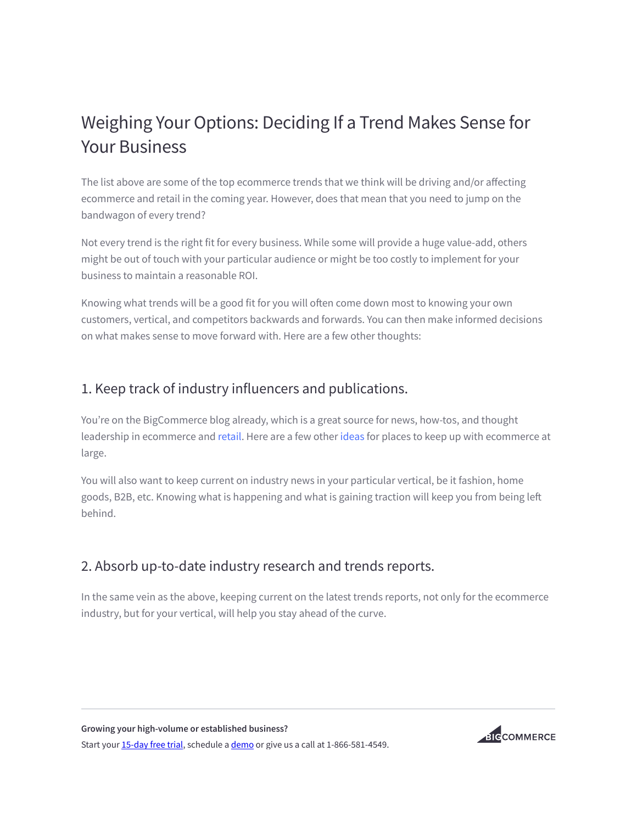## Weighing Your Options: Deciding If a Trend Makes Sense for Your Business

The list above are some of the top ecommerce trends that we think will be driving and/or affecting ecommerce and retail in the coming year. However, does that mean that you need to jump on the bandwagon of every trend?

Not every trend is the right fit for every business. While some will provide a huge value-add, others might be out of touch with your particular audience or might be too costly to implement for your business to maintain a reasonable ROI.

Knowing what trends will be a good fit for you will often come down most to knowing your own customers, vertical, and competitors backwards and forwards. You can then make informed decisions on what makes sense to move forward with. Here are a few other thoughts:

#### 1. Keep track of industry influencers and publications.

You're on the BigCommerce blog already, which is a great source for news, how-tos, and thought leadership in ecommerce and [retail](https://www.bigcommerce.com/blog/omni-channel-retail/). Here are a few other [ideas](https://www.bigcommerce.com/blog/ecommerce-news/) for places to keep up with ecommerce at large.

You will also want to keep current on industry news in your particular vertical, be it fashion, home goods, B2B, etc. Knowing what is happening and what is gaining traction will keep you from being le behind.

#### 2. Absorb up-to-date industry research and trends reports.

In the same vein as the above, keeping current on the latest trends reports, not only for the ecommerce industry, but for your vertical, will help you stay ahead of the curve.

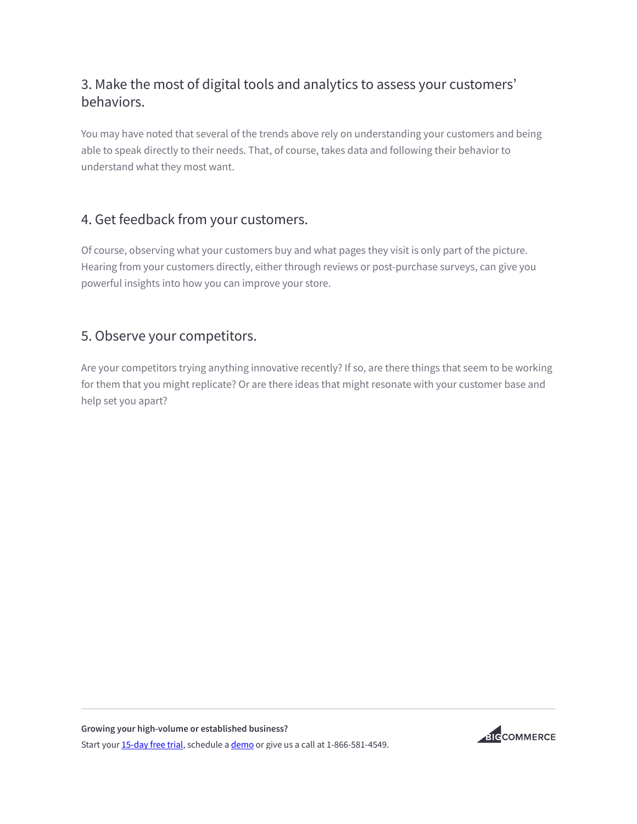### 3. Make the most of digital tools and analytics to assess your customers' behaviors.

You may have noted that several of the trends above rely on understanding your customers and being able to speak directly to their needs. That, of course, takes data and following their behavior to understand what they most want.

#### 4. Get feedback from your customers.

Of course, observing what your customers buy and what pages they visit is only part of the picture. Hearing from your customers directly, either through reviews or post-purchase surveys, can give you powerful insights into how you can improve your store.

#### 5. Observe your competitors.

Are your competitors trying anything innovative recently? If so, are there things that seem to be working for them that you might replicate? Or are there ideas that might resonate with your customer base and help set you apart?